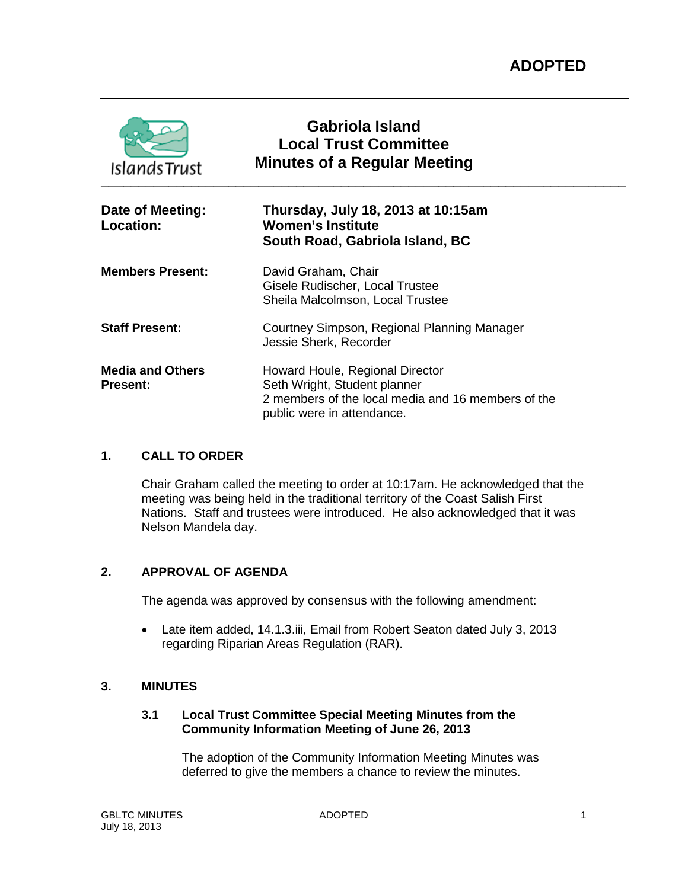| <b>Islands Trust</b>                       | Gabriola Island<br><b>Local Trust Committee</b><br><b>Minutes of a Regular Meeting</b>                                                              |
|--------------------------------------------|-----------------------------------------------------------------------------------------------------------------------------------------------------|
| Date of Meeting:<br>Location:              | Thursday, July 18, 2013 at 10:15am<br><b>Women's Institute</b><br>South Road, Gabriola Island, BC                                                   |
| <b>Members Present:</b>                    | David Graham, Chair<br>Gisele Rudischer, Local Trustee<br>Sheila Malcolmson, Local Trustee                                                          |
| <b>Staff Present:</b>                      | Courtney Simpson, Regional Planning Manager<br>Jessie Sherk, Recorder                                                                               |
| <b>Media and Others</b><br><b>Present:</b> | Howard Houle, Regional Director<br>Seth Wright, Student planner<br>2 members of the local media and 16 members of the<br>public were in attendance. |

# **1. CALL TO ORDER**

Chair Graham called the meeting to order at 10:17am. He acknowledged that the meeting was being held in the traditional territory of the Coast Salish First Nations. Staff and trustees were introduced. He also acknowledged that it was Nelson Mandela day.

# **2. APPROVAL OF AGENDA**

The agenda was approved by consensus with the following amendment:

• Late item added, 14.1.3.iii, Email from Robert Seaton dated July 3, 2013 regarding Riparian Areas Regulation (RAR).

# **3. MINUTES**

# **3.1 Local Trust Committee Special Meeting Minutes from the Community Information Meeting of June 26, 2013**

The adoption of the Community Information Meeting Minutes was deferred to give the members a chance to review the minutes.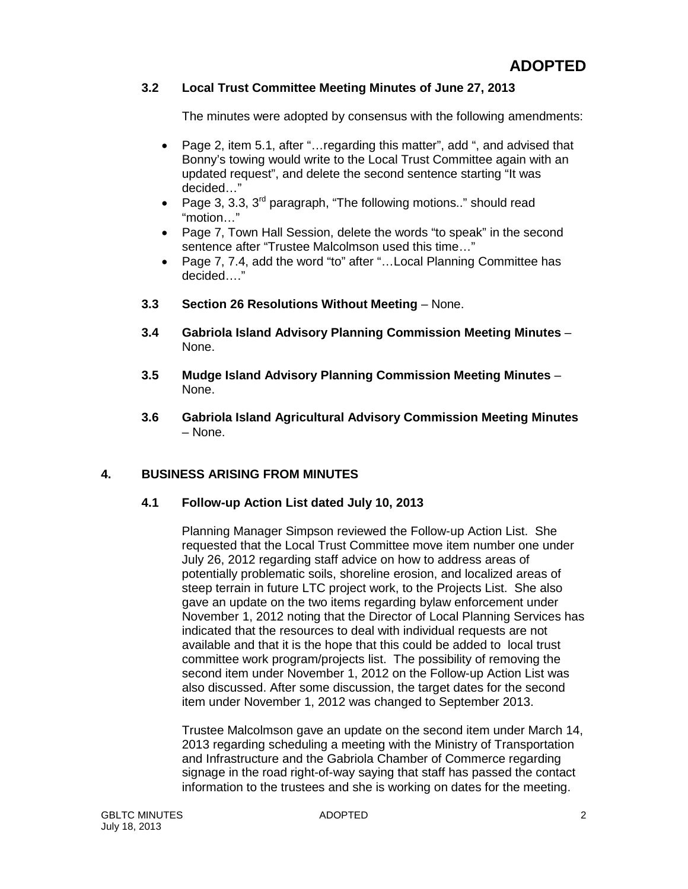# **3.2 Local Trust Committee Meeting Minutes of June 27, 2013**

The minutes were adopted by consensus with the following amendments:

- Page 2, item 5.1, after "…regarding this matter", add ", and advised that Bonny's towing would write to the Local Trust Committee again with an updated request", and delete the second sentence starting "It was decided…"
- Page 3, 3.3, 3rd paragraph, "The following motions.." should read "motion…"
- Page 7, Town Hall Session, delete the words "to speak" in the second sentence after "Trustee Malcolmson used this time…"
- Page 7, 7.4, add the word "to" after "... Local Planning Committee has decided…."
- **3.3 Section 26 Resolutions Without Meeting**  None.
- **3.4 Gabriola Island Advisory Planning Commission Meeting Minutes** None.
- **3.5 Mudge Island Advisory Planning Commission Meeting Minutes** None.
- **3.6 Gabriola Island Agricultural Advisory Commission Meeting Minutes** – None.

# **4. BUSINESS ARISING FROM MINUTES**

#### **4.1 Follow-up Action List dated July 10, 2013**

Planning Manager Simpson reviewed the Follow-up Action List. She requested that the Local Trust Committee move item number one under July 26, 2012 regarding staff advice on how to address areas of potentially problematic soils, shoreline erosion, and localized areas of steep terrain in future LTC project work, to the Projects List. She also gave an update on the two items regarding bylaw enforcement under November 1, 2012 noting that the Director of Local Planning Services has indicated that the resources to deal with individual requests are not available and that it is the hope that this could be added to local trust committee work program/projects list. The possibility of removing the second item under November 1, 2012 on the Follow-up Action List was also discussed. After some discussion, the target dates for the second item under November 1, 2012 was changed to September 2013.

Trustee Malcolmson gave an update on the second item under March 14, 2013 regarding scheduling a meeting with the Ministry of Transportation and Infrastructure and the Gabriola Chamber of Commerce regarding signage in the road right-of-way saying that staff has passed the contact information to the trustees and she is working on dates for the meeting.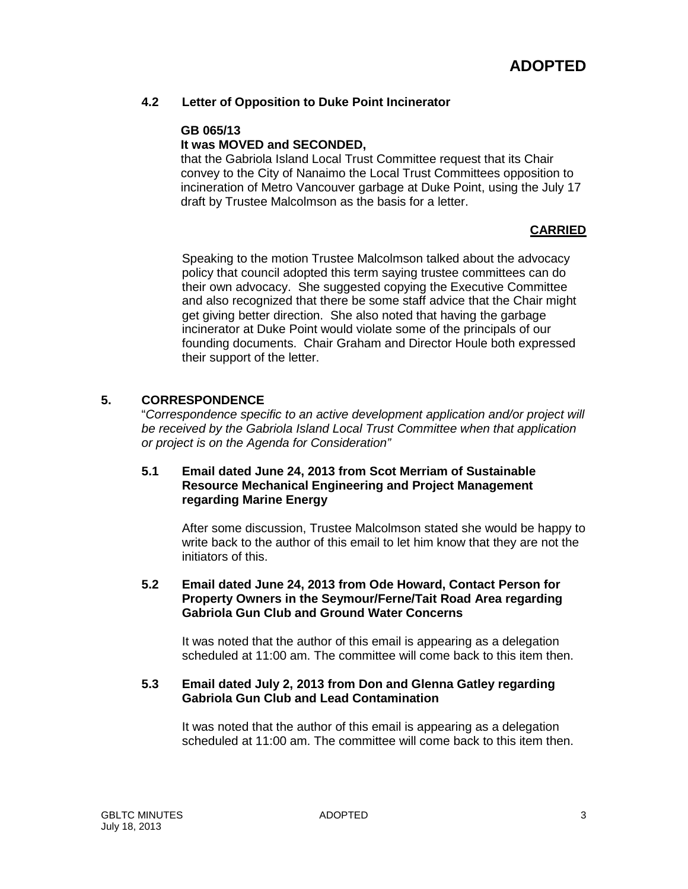# **4.2 Letter of Opposition to Duke Point Incinerator**

#### **GB 065/13**

### **It was MOVED and SECONDED,**

that the Gabriola Island Local Trust Committee request that its Chair convey to the City of Nanaimo the Local Trust Committees opposition to incineration of Metro Vancouver garbage at Duke Point, using the July 17 draft by Trustee Malcolmson as the basis for a letter.

# **CARRIED**

Speaking to the motion Trustee Malcolmson talked about the advocacy policy that council adopted this term saying trustee committees can do their own advocacy. She suggested copying the Executive Committee and also recognized that there be some staff advice that the Chair might get giving better direction. She also noted that having the garbage incinerator at Duke Point would violate some of the principals of our founding documents. Chair Graham and Director Houle both expressed their support of the letter.

#### **5. CORRESPONDENCE**

"*Correspondence specific to an active development application and/or project will be received by the Gabriola Island Local Trust Committee when that application or project is on the Agenda for Consideration"*

#### **5.1 Email dated June 24, 2013 from Scot Merriam of Sustainable Resource Mechanical Engineering and Project Management regarding Marine Energy**

After some discussion, Trustee Malcolmson stated she would be happy to write back to the author of this email to let him know that they are not the initiators of this.

**5.2 Email dated June 24, 2013 from Ode Howard, Contact Person for Property Owners in the Seymour/Ferne/Tait Road Area regarding Gabriola Gun Club and Ground Water Concerns**

It was noted that the author of this email is appearing as a delegation scheduled at 11:00 am. The committee will come back to this item then.

#### **5.3 Email dated July 2, 2013 from Don and Glenna Gatley regarding Gabriola Gun Club and Lead Contamination**

It was noted that the author of this email is appearing as a delegation scheduled at 11:00 am. The committee will come back to this item then.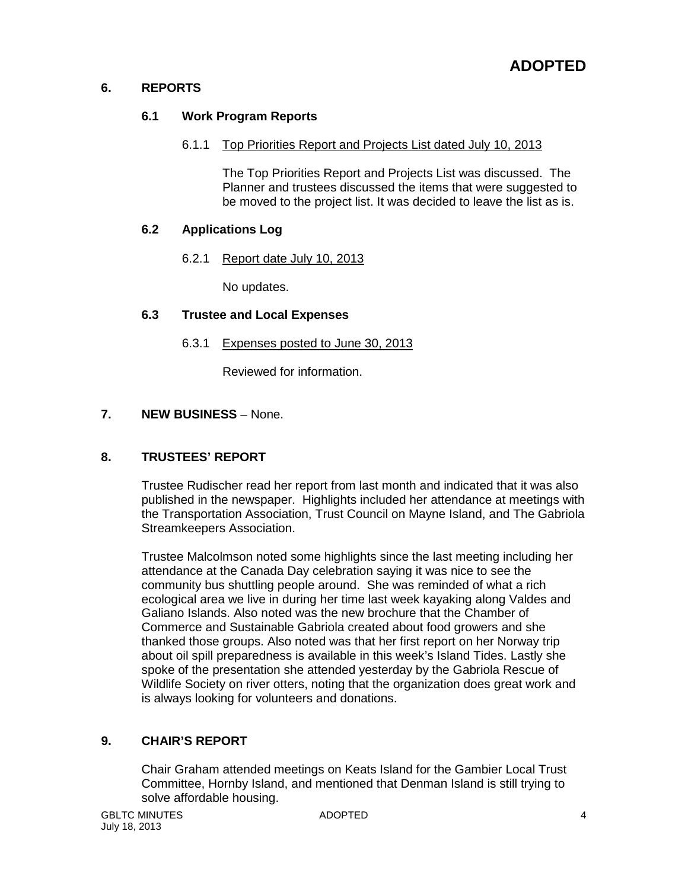# **6. REPORTS**

# **6.1 Work Program Reports**

# 6.1.1 Top Priorities Report and Projects List dated July 10, 2013

The Top Priorities Report and Projects List was discussed. The Planner and trustees discussed the items that were suggested to be moved to the project list. It was decided to leave the list as is.

# **6.2 Applications Log**

6.2.1 Report date July 10, 2013

No updates.

# **6.3 Trustee and Local Expenses**

# 6.3.1 Expenses posted to June 30, 2013

Reviewed for information.

# **7. NEW BUSINESS** – None.

# **8. TRUSTEES' REPORT**

Trustee Rudischer read her report from last month and indicated that it was also published in the newspaper. Highlights included her attendance at meetings with the Transportation Association, Trust Council on Mayne Island, and The Gabriola Streamkeepers Association.

Trustee Malcolmson noted some highlights since the last meeting including her attendance at the Canada Day celebration saying it was nice to see the community bus shuttling people around. She was reminded of what a rich ecological area we live in during her time last week kayaking along Valdes and Galiano Islands. Also noted was the new brochure that the Chamber of Commerce and Sustainable Gabriola created about food growers and she thanked those groups. Also noted was that her first report on her Norway trip about oil spill preparedness is available in this week's Island Tides. Lastly she spoke of the presentation she attended yesterday by the Gabriola Rescue of Wildlife Society on river otters, noting that the organization does great work and is always looking for volunteers and donations.

# **9. CHAIR'S REPORT**

Chair Graham attended meetings on Keats Island for the Gambier Local Trust Committee, Hornby Island, and mentioned that Denman Island is still trying to solve affordable housing.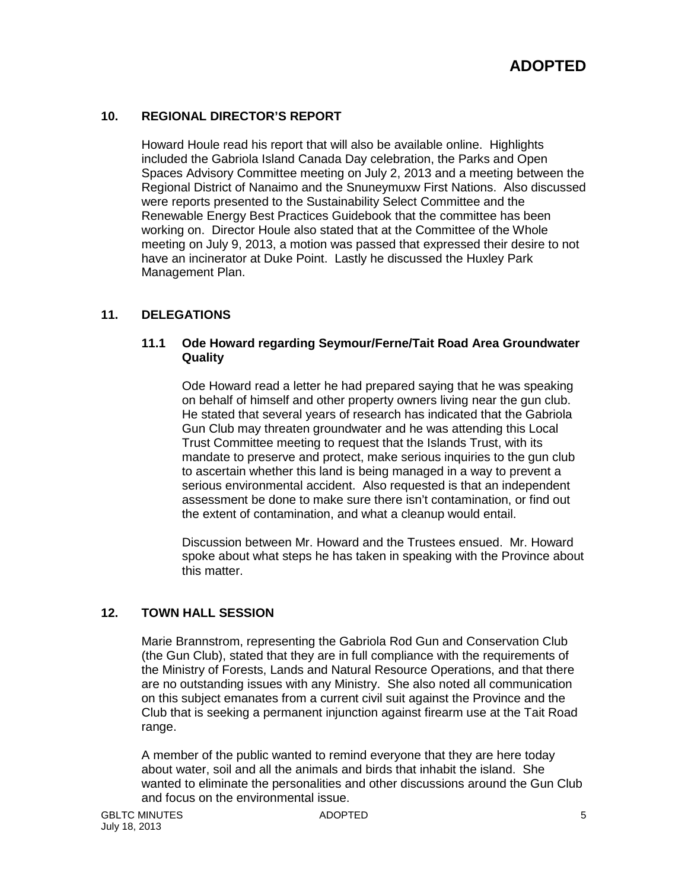# **10. REGIONAL DIRECTOR'S REPORT**

Howard Houle read his report that will also be available online. Highlights included the Gabriola Island Canada Day celebration, the Parks and Open Spaces Advisory Committee meeting on July 2, 2013 and a meeting between the Regional District of Nanaimo and the Snuneymuxw First Nations. Also discussed were reports presented to the Sustainability Select Committee and the Renewable Energy Best Practices Guidebook that the committee has been working on. Director Houle also stated that at the Committee of the Whole meeting on July 9, 2013, a motion was passed that expressed their desire to not have an incinerator at Duke Point. Lastly he discussed the Huxley Park Management Plan.

# **11. DELEGATIONS**

#### **11.1 Ode Howard regarding Seymour/Ferne/Tait Road Area Groundwater Quality**

Ode Howard read a letter he had prepared saying that he was speaking on behalf of himself and other property owners living near the gun club. He stated that several years of research has indicated that the Gabriola Gun Club may threaten groundwater and he was attending this Local Trust Committee meeting to request that the Islands Trust, with its mandate to preserve and protect, make serious inquiries to the gun club to ascertain whether this land is being managed in a way to prevent a serious environmental accident. Also requested is that an independent assessment be done to make sure there isn't contamination, or find out the extent of contamination, and what a cleanup would entail.

Discussion between Mr. Howard and the Trustees ensued. Mr. Howard spoke about what steps he has taken in speaking with the Province about this matter.

# **12. TOWN HALL SESSION**

Marie Brannstrom, representing the Gabriola Rod Gun and Conservation Club (the Gun Club), stated that they are in full compliance with the requirements of the Ministry of Forests, Lands and Natural Resource Operations, and that there are no outstanding issues with any Ministry. She also noted all communication on this subject emanates from a current civil suit against the Province and the Club that is seeking a permanent injunction against firearm use at the Tait Road range.

A member of the public wanted to remind everyone that they are here today about water, soil and all the animals and birds that inhabit the island. She wanted to eliminate the personalities and other discussions around the Gun Club and focus on the environmental issue.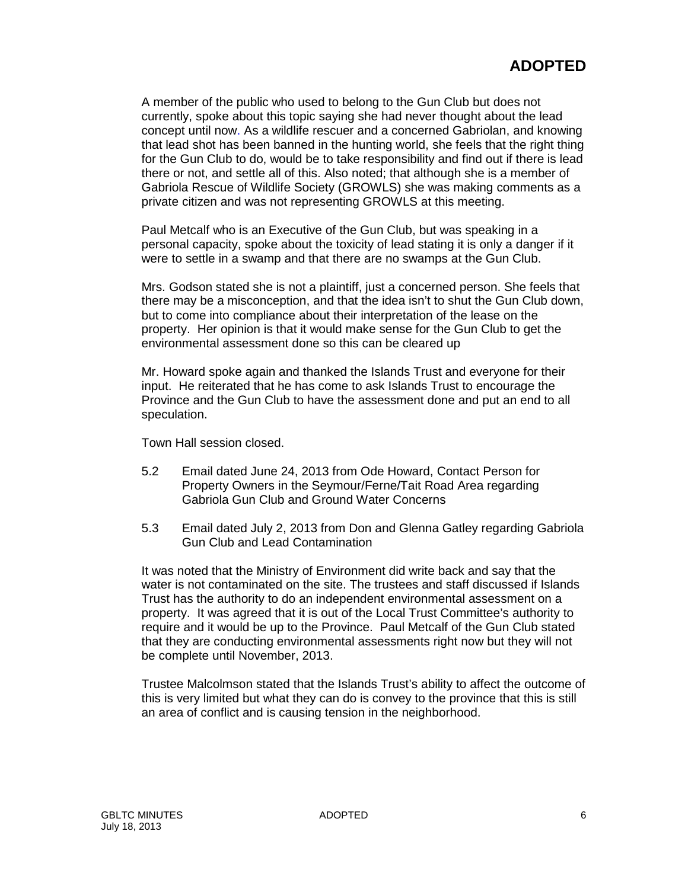A member of the public who used to belong to the Gun Club but does not currently, spoke about this topic saying she had never thought about the lead concept until now. As a wildlife rescuer and a concerned Gabriolan, and knowing that lead shot has been banned in the hunting world, she feels that the right thing for the Gun Club to do, would be to take responsibility and find out if there is lead there or not, and settle all of this. Also noted; that although she is a member of Gabriola Rescue of Wildlife Society (GROWLS) she was making comments as a private citizen and was not representing GROWLS at this meeting.

Paul Metcalf who is an Executive of the Gun Club, but was speaking in a personal capacity, spoke about the toxicity of lead stating it is only a danger if it were to settle in a swamp and that there are no swamps at the Gun Club.

Mrs. Godson stated she is not a plaintiff, just a concerned person. She feels that there may be a misconception, and that the idea isn't to shut the Gun Club down, but to come into compliance about their interpretation of the lease on the property. Her opinion is that it would make sense for the Gun Club to get the environmental assessment done so this can be cleared up

Mr. Howard spoke again and thanked the Islands Trust and everyone for their input. He reiterated that he has come to ask Islands Trust to encourage the Province and the Gun Club to have the assessment done and put an end to all speculation.

Town Hall session closed.

- 5.2 Email dated June 24, 2013 from Ode Howard, Contact Person for Property Owners in the Seymour/Ferne/Tait Road Area regarding Gabriola Gun Club and Ground Water Concerns
- 5.3 Email dated July 2, 2013 from Don and Glenna Gatley regarding Gabriola Gun Club and Lead Contamination

It was noted that the Ministry of Environment did write back and say that the water is not contaminated on the site. The trustees and staff discussed if Islands Trust has the authority to do an independent environmental assessment on a property. It was agreed that it is out of the Local Trust Committee's authority to require and it would be up to the Province. Paul Metcalf of the Gun Club stated that they are conducting environmental assessments right now but they will not be complete until November, 2013.

Trustee Malcolmson stated that the Islands Trust's ability to affect the outcome of this is very limited but what they can do is convey to the province that this is still an area of conflict and is causing tension in the neighborhood.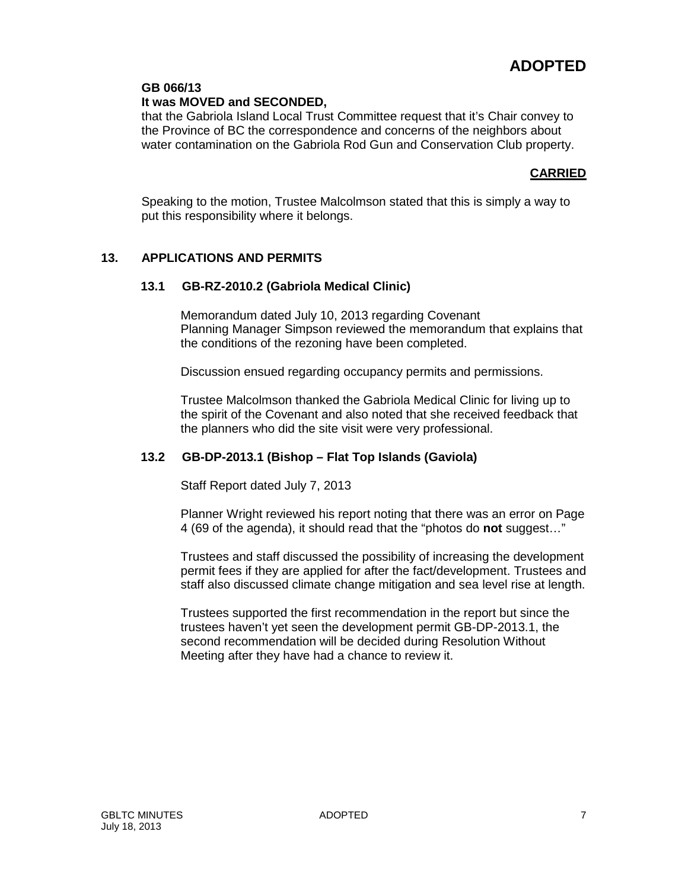# **GB 066/13**

**It was MOVED and SECONDED,**

that the Gabriola Island Local Trust Committee request that it's Chair convey to the Province of BC the correspondence and concerns of the neighbors about water contamination on the Gabriola Rod Gun and Conservation Club property.

# **CARRIED**

Speaking to the motion, Trustee Malcolmson stated that this is simply a way to put this responsibility where it belongs.

# **13. APPLICATIONS AND PERMITS**

# **13.1 GB-RZ-2010.2 (Gabriola Medical Clinic)**

Memorandum dated July 10, 2013 regarding Covenant Planning Manager Simpson reviewed the memorandum that explains that the conditions of the rezoning have been completed.

Discussion ensued regarding occupancy permits and permissions.

Trustee Malcolmson thanked the Gabriola Medical Clinic for living up to the spirit of the Covenant and also noted that she received feedback that the planners who did the site visit were very professional.

# **13.2 GB-DP-2013.1 (Bishop – Flat Top Islands (Gaviola)**

Staff Report dated July 7, 2013

Planner Wright reviewed his report noting that there was an error on Page 4 (69 of the agenda), it should read that the "photos do **not** suggest…"

Trustees and staff discussed the possibility of increasing the development permit fees if they are applied for after the fact/development. Trustees and staff also discussed climate change mitigation and sea level rise at length.

Trustees supported the first recommendation in the report but since the trustees haven't yet seen the development permit GB-DP-2013.1, the second recommendation will be decided during Resolution Without Meeting after they have had a chance to review it.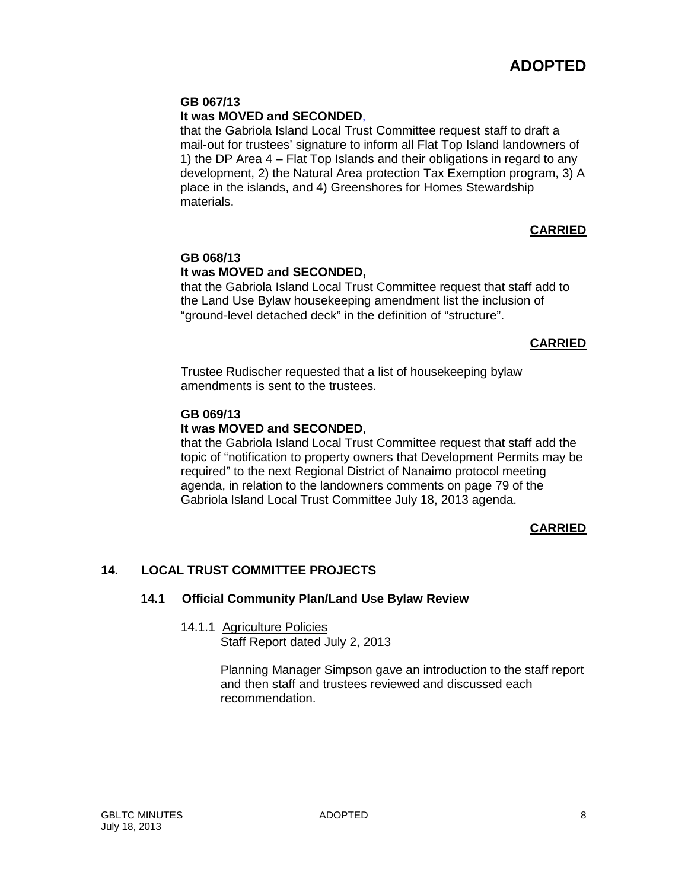#### **GB 067/13**

# **It was MOVED and SECONDED**,

that the Gabriola Island Local Trust Committee request staff to draft a mail-out for trustees' signature to inform all Flat Top Island landowners of 1) the DP Area 4 – Flat Top Islands and their obligations in regard to any development, 2) the Natural Area protection Tax Exemption program, 3) A place in the islands, and 4) Greenshores for Homes Stewardship materials.

# **CARRIED**

# **GB 068/13 It was MOVED and SECONDED,**

that the Gabriola Island Local Trust Committee request that staff add to the Land Use Bylaw housekeeping amendment list the inclusion of "ground-level detached deck" in the definition of "structure".

# **CARRIED**

Trustee Rudischer requested that a list of housekeeping bylaw amendments is sent to the trustees.

### **GB 069/13**

# **It was MOVED and SECONDED**,

that the Gabriola Island Local Trust Committee request that staff add the topic of "notification to property owners that Development Permits may be required" to the next Regional District of Nanaimo protocol meeting agenda, in relation to the landowners comments on page 79 of the Gabriola Island Local Trust Committee July 18, 2013 agenda.

# **CARRIED**

# **14. LOCAL TRUST COMMITTEE PROJECTS**

#### **14.1 Official Community Plan/Land Use Bylaw Review**

# 14.1.1 Agriculture Policies

Staff Report dated July 2, 2013

Planning Manager Simpson gave an introduction to the staff report and then staff and trustees reviewed and discussed each recommendation.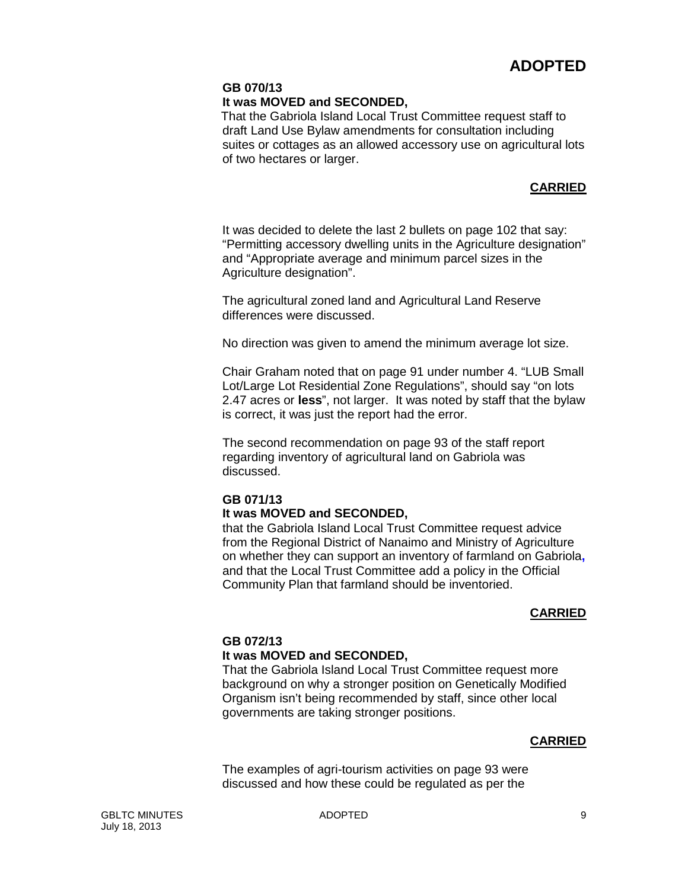# **GB 070/13**

### **It was MOVED and SECONDED,**

That the Gabriola Island Local Trust Committee request staff to draft Land Use Bylaw amendments for consultation including suites or cottages as an allowed accessory use on agricultural lots of two hectares or larger.

# **CARRIED**

It was decided to delete the last 2 bullets on page 102 that say: "Permitting accessory dwelling units in the Agriculture designation" and "Appropriate average and minimum parcel sizes in the Agriculture designation".

The agricultural zoned land and Agricultural Land Reserve differences were discussed.

No direction was given to amend the minimum average lot size.

Chair Graham noted that on page 91 under number 4. "LUB Small Lot/Large Lot Residential Zone Regulations", should say "on lots 2.47 acres or **less**", not larger. It was noted by staff that the bylaw is correct, it was just the report had the error.

The second recommendation on page 93 of the staff report regarding inventory of agricultural land on Gabriola was discussed.

# **GB 071/13**

# **It was MOVED and SECONDED,**

that the Gabriola Island Local Trust Committee request advice from the Regional District of Nanaimo and Ministry of Agriculture on whether they can support an inventory of farmland on Gabriola**,**  and that the Local Trust Committee add a policy in the Official Community Plan that farmland should be inventoried.

# **CARRIED**

# **GB 072/13**

# **It was MOVED and SECONDED,**

That the Gabriola Island Local Trust Committee request more background on why a stronger position on Genetically Modified Organism isn't being recommended by staff, since other local governments are taking stronger positions.

# **CARRIED**

The examples of agri-tourism activities on page 93 were discussed and how these could be regulated as per the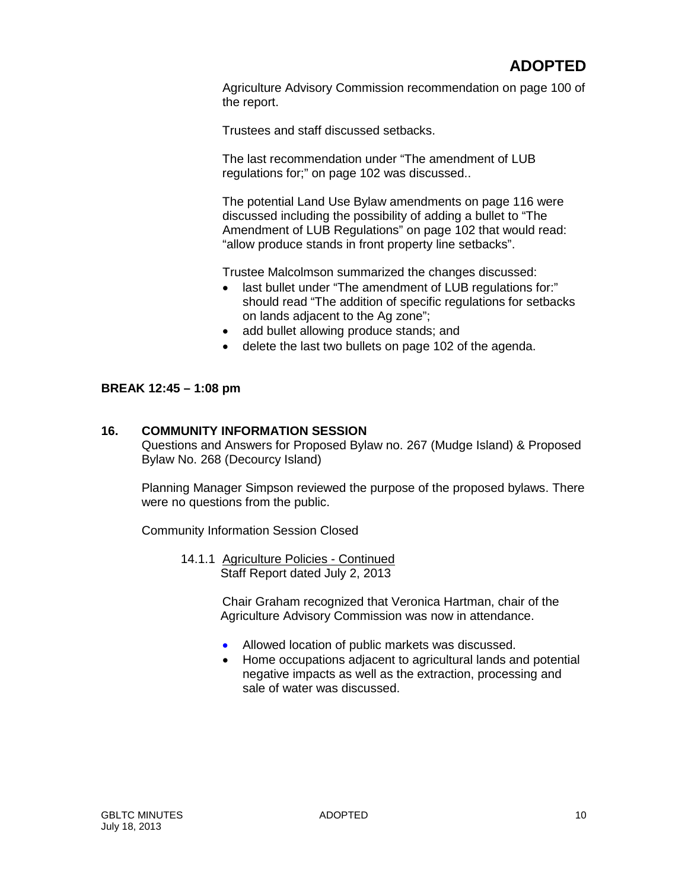Agriculture Advisory Commission recommendation on page 100 of the report.

Trustees and staff discussed setbacks.

The last recommendation under "The amendment of LUB regulations for;" on page 102 was discussed..

The potential Land Use Bylaw amendments on page 116 were discussed including the possibility of adding a bullet to "The Amendment of LUB Regulations" on page 102 that would read: "allow produce stands in front property line setbacks".

Trustee Malcolmson summarized the changes discussed:

- last bullet under "The amendment of LUB regulations for:" should read "The addition of specific regulations for setbacks on lands adjacent to the Ag zone";
- add bullet allowing produce stands; and
- delete the last two bullets on page 102 of the agenda.

#### **BREAK 12:45 – 1:08 pm**

#### **16. COMMUNITY INFORMATION SESSION**

Questions and Answers for Proposed Bylaw no. 267 (Mudge Island) & Proposed Bylaw No. 268 (Decourcy Island)

Planning Manager Simpson reviewed the purpose of the proposed bylaws. There were no questions from the public.

Community Information Session Closed

14.1.1 Agriculture Policies - Continued Staff Report dated July 2, 2013

> Chair Graham recognized that Veronica Hartman, chair of the Agriculture Advisory Commission was now in attendance.

- Allowed location of public markets was discussed.
- Home occupations adjacent to agricultural lands and potential negative impacts as well as the extraction, processing and sale of water was discussed.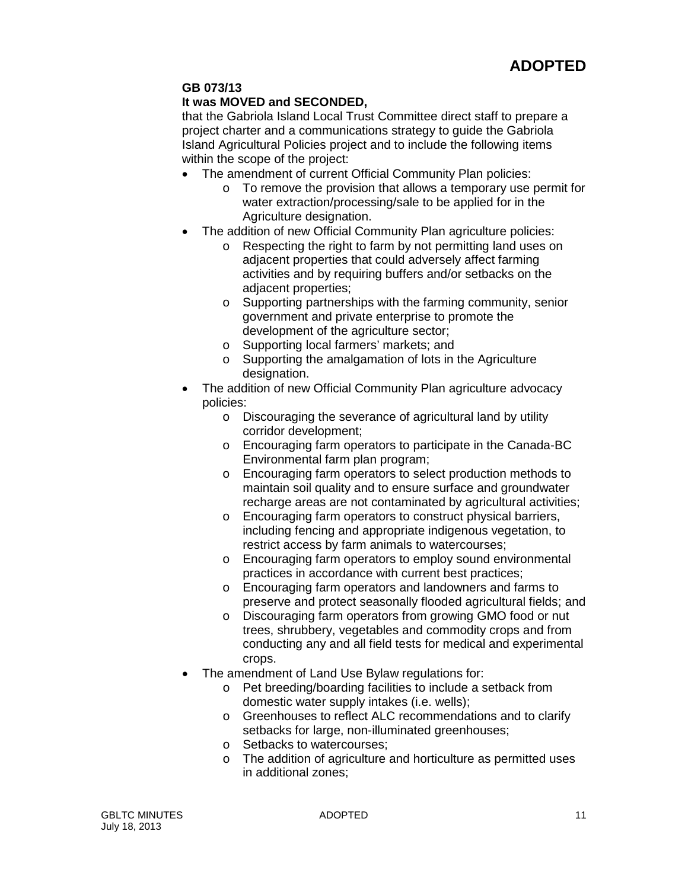# **GB 073/13**

# **It was MOVED and SECONDED,**

that the Gabriola Island Local Trust Committee direct staff to prepare a project charter and a communications strategy to guide the Gabriola Island Agricultural Policies project and to include the following items within the scope of the project:

- The amendment of current Official Community Plan policies:
	- o To remove the provision that allows a temporary use permit for water extraction/processing/sale to be applied for in the Agriculture designation.
- The addition of new Official Community Plan agriculture policies:
	- o Respecting the right to farm by not permitting land uses on adjacent properties that could adversely affect farming activities and by requiring buffers and/or setbacks on the adjacent properties;
	- o Supporting partnerships with the farming community, senior government and private enterprise to promote the development of the agriculture sector;
	- o Supporting local farmers' markets; and
	- o Supporting the amalgamation of lots in the Agriculture designation.
- The addition of new Official Community Plan agriculture advocacy policies:
	- o Discouraging the severance of agricultural land by utility corridor development;
	- o Encouraging farm operators to participate in the Canada-BC Environmental farm plan program;
	- o Encouraging farm operators to select production methods to maintain soil quality and to ensure surface and groundwater recharge areas are not contaminated by agricultural activities;
	- o Encouraging farm operators to construct physical barriers, including fencing and appropriate indigenous vegetation, to restrict access by farm animals to watercourses;
	- o Encouraging farm operators to employ sound environmental practices in accordance with current best practices;
	- o Encouraging farm operators and landowners and farms to preserve and protect seasonally flooded agricultural fields; and
	- o Discouraging farm operators from growing GMO food or nut trees, shrubbery, vegetables and commodity crops and from conducting any and all field tests for medical and experimental crops.
- The amendment of Land Use Bylaw regulations for:
	- o Pet breeding/boarding facilities to include a setback from domestic water supply intakes (i.e. wells);
	- o Greenhouses to reflect ALC recommendations and to clarify setbacks for large, non-illuminated greenhouses;
	- o Setbacks to watercourses;
	- o The addition of agriculture and horticulture as permitted uses in additional zones;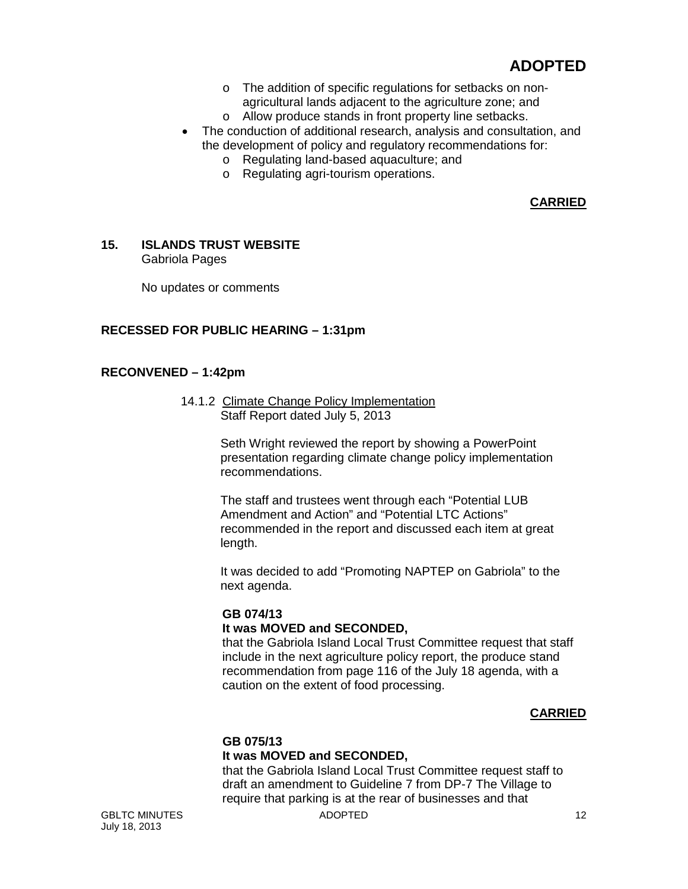- o The addition of specific regulations for setbacks on nonagricultural lands adjacent to the agriculture zone; and
- o Allow produce stands in front property line setbacks.
- The conduction of additional research, analysis and consultation, and the development of policy and regulatory recommendations for:
	- o Regulating land-based aquaculture; and
	- o Regulating agri-tourism operations.

# **CARRIED**

#### **15. ISLANDS TRUST WEBSITE** Gabriola Pages

No updates or comments

# **RECESSED FOR PUBLIC HEARING – 1:31pm**

# **RECONVENED – 1:42pm**

14.1.2 Climate Change Policy Implementation Staff Report dated July 5, 2013

> Seth Wright reviewed the report by showing a PowerPoint presentation regarding climate change policy implementation recommendations.

> The staff and trustees went through each "Potential LUB Amendment and Action" and "Potential LTC Actions" recommended in the report and discussed each item at great length.

It was decided to add "Promoting NAPTEP on Gabriola" to the next agenda.

# **GB 074/13**

# **It was MOVED and SECONDED,**

that the Gabriola Island Local Trust Committee request that staff include in the next agriculture policy report, the produce stand recommendation from page 116 of the July 18 agenda, with a caution on the extent of food processing.

# **CARRIED**

# **GB 075/13**

# **It was MOVED and SECONDED,**

that the Gabriola Island Local Trust Committee request staff to draft an amendment to Guideline 7 from DP-7 The Village to require that parking is at the rear of businesses and that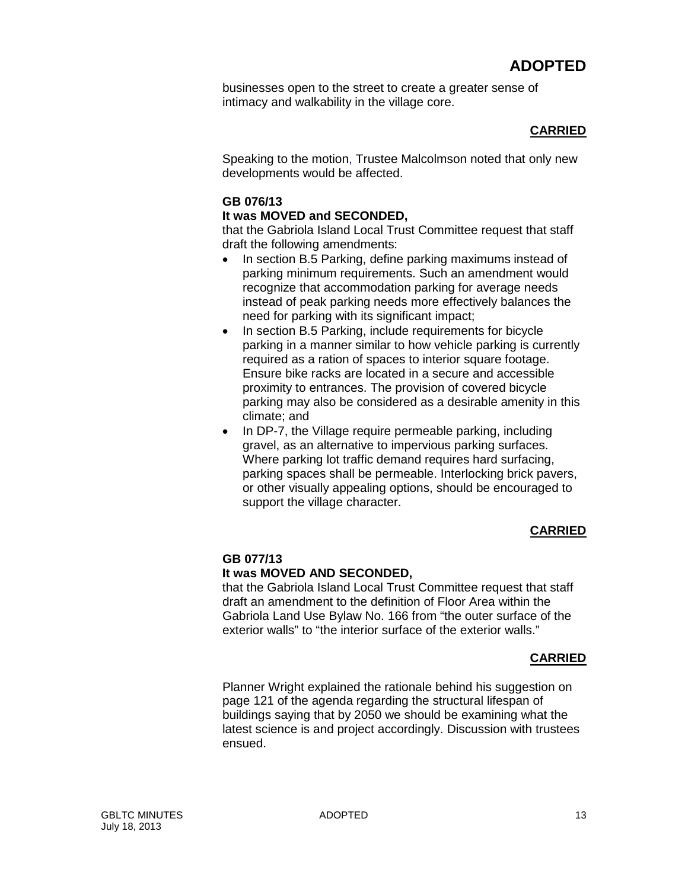businesses open to the street to create a greater sense of intimacy and walkability in the village core.

# **CARRIED**

Speaking to the motion, Trustee Malcolmson noted that only new developments would be affected.

# **GB 076/13**

# **It was MOVED and SECONDED,**

that the Gabriola Island Local Trust Committee request that staff draft the following amendments:

- In section B.5 Parking, define parking maximums instead of parking minimum requirements. Such an amendment would recognize that accommodation parking for average needs instead of peak parking needs more effectively balances the need for parking with its significant impact;
- In section B.5 Parking, include requirements for bicycle parking in a manner similar to how vehicle parking is currently required as a ration of spaces to interior square footage. Ensure bike racks are located in a secure and accessible proximity to entrances. The provision of covered bicycle parking may also be considered as a desirable amenity in this climate; and
- In DP-7, the Village require permeable parking, including gravel, as an alternative to impervious parking surfaces. Where parking lot traffic demand requires hard surfacing, parking spaces shall be permeable. Interlocking brick pavers, or other visually appealing options, should be encouraged to support the village character.

# **CARRIED**

# **GB 077/13**

# **It was MOVED AND SECONDED,**

that the Gabriola Island Local Trust Committee request that staff draft an amendment to the definition of Floor Area within the Gabriola Land Use Bylaw No. 166 from "the outer surface of the exterior walls" to "the interior surface of the exterior walls."

# **CARRIED**

Planner Wright explained the rationale behind his suggestion on page 121 of the agenda regarding the structural lifespan of buildings saying that by 2050 we should be examining what the latest science is and project accordingly. Discussion with trustees ensued.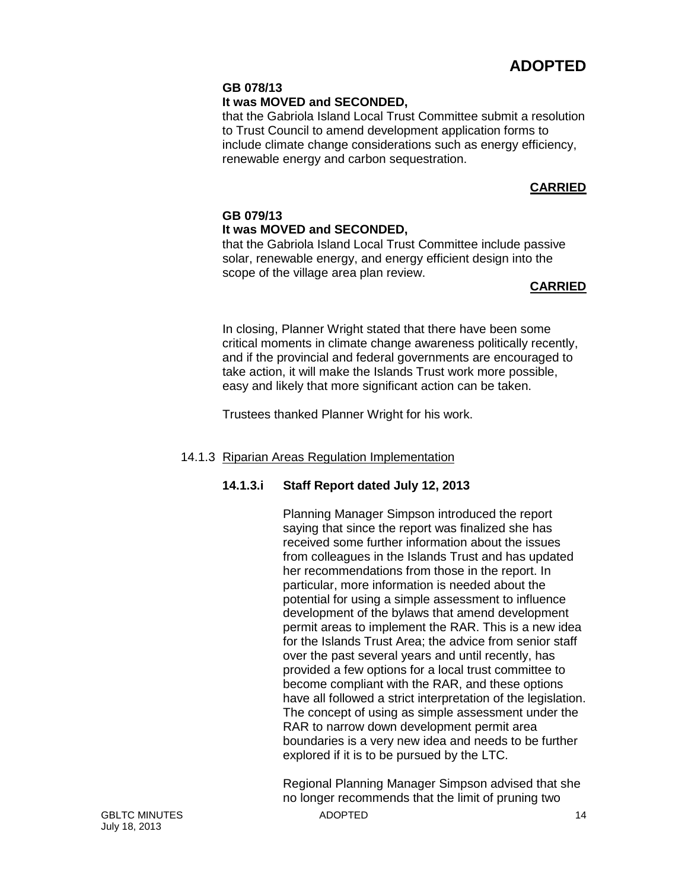# **GB 078/13**

# **It was MOVED and SECONDED,**

that the Gabriola Island Local Trust Committee submit a resolution to Trust Council to amend development application forms to include climate change considerations such as energy efficiency, renewable energy and carbon sequestration.

# **CARRIED**

# **GB 079/13 It was MOVED and SECONDED,**

that the Gabriola Island Local Trust Committee include passive solar, renewable energy, and energy efficient design into the scope of the village area plan review.

# **CARRIED**

In closing, Planner Wright stated that there have been some critical moments in climate change awareness politically recently, and if the provincial and federal governments are encouraged to take action, it will make the Islands Trust work more possible, easy and likely that more significant action can be taken.

Trustees thanked Planner Wright for his work.

# 14.1.3 Riparian Areas Regulation Implementation

# **14.1.3.i Staff Report dated July 12, 2013**

Planning Manager Simpson introduced the report saying that since the report was finalized she has received some further information about the issues from colleagues in the Islands Trust and has updated her recommendations from those in the report. In particular, more information is needed about the potential for using a simple assessment to influence development of the bylaws that amend development permit areas to implement the RAR. This is a new idea for the Islands Trust Area; the advice from senior staff over the past several years and until recently, has provided a few options for a local trust committee to become compliant with the RAR, and these options have all followed a strict interpretation of the legislation. The concept of using as simple assessment under the RAR to narrow down development permit area boundaries is a very new idea and needs to be further explored if it is to be pursued by the LTC.

GBLTC MINUTES 4DOPTED 40 Regional Planning Manager Simpson advised that she no longer recommends that the limit of pruning two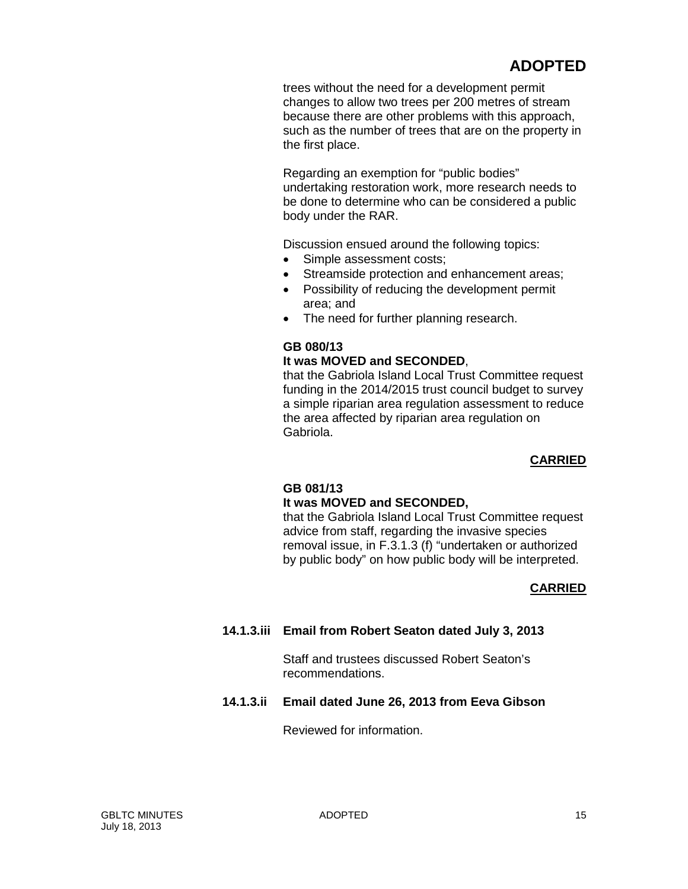trees without the need for a development permit changes to allow two trees per 200 metres of stream because there are other problems with this approach, such as the number of trees that are on the property in the first place.

Regarding an exemption for "public bodies" undertaking restoration work, more research needs to be done to determine who can be considered a public body under the RAR.

Discussion ensued around the following topics:

- Simple assessment costs;
- Streamside protection and enhancement areas;
- Possibility of reducing the development permit area; and
- The need for further planning research.

#### **GB 080/13**

#### **It was MOVED and SECONDED**,

that the Gabriola Island Local Trust Committee request funding in the 2014/2015 trust council budget to survey a simple riparian area regulation assessment to reduce the area affected by riparian area regulation on Gabriola.

# **CARRIED**

#### **GB 081/13**

#### **It was MOVED and SECONDED,**

that the Gabriola Island Local Trust Committee request advice from staff, regarding the invasive species removal issue, in F.3.1.3 (f) "undertaken or authorized by public body" on how public body will be interpreted.

# **CARRIED**

# **14.1.3.iii Email from Robert Seaton dated July 3, 2013**

Staff and trustees discussed Robert Seaton's recommendations.

# **14.1.3.ii Email dated June 26, 2013 from Eeva Gibson**

Reviewed for information.